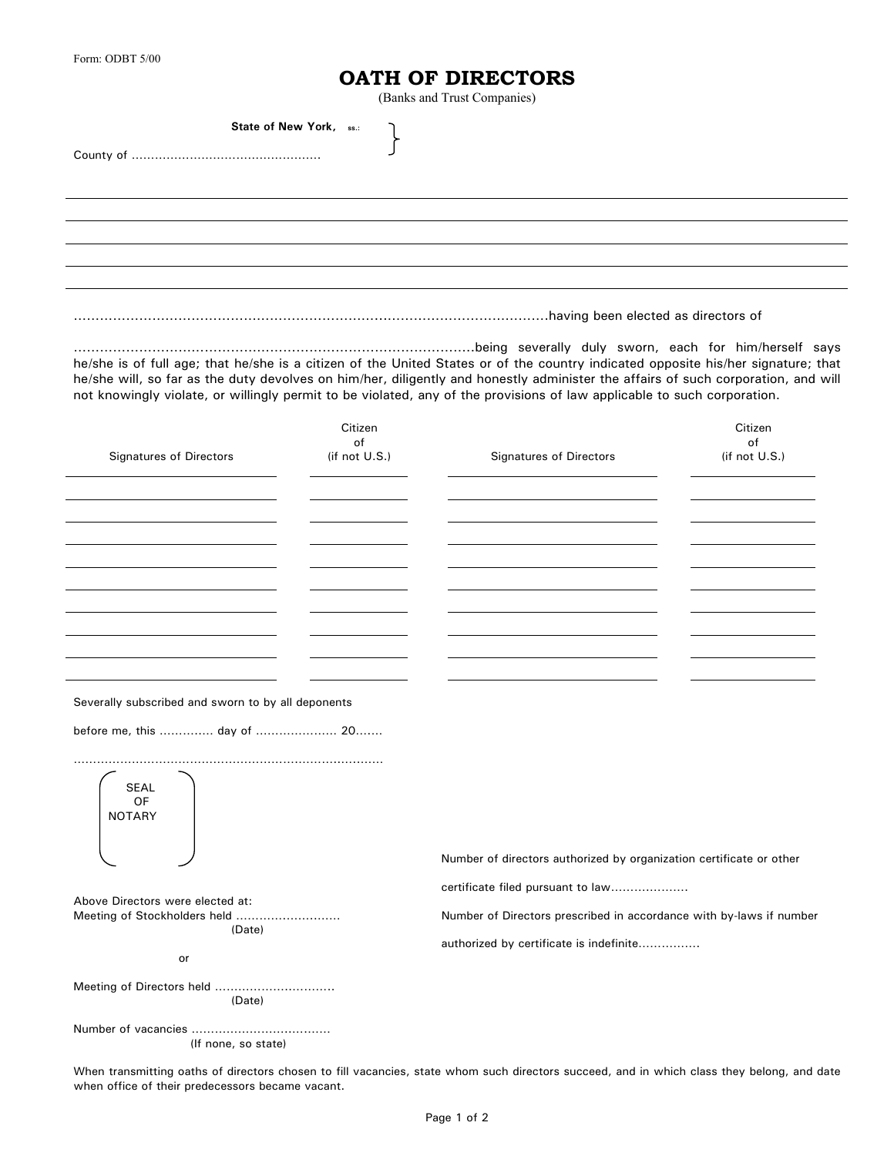## **OATH OF DIRECTORS**

(Banks and Trust Companies)

|                                |                                | (Banks and Trust Companies)                                                                                                                                                                                                                                                                                                                                                                       |                                |
|--------------------------------|--------------------------------|---------------------------------------------------------------------------------------------------------------------------------------------------------------------------------------------------------------------------------------------------------------------------------------------------------------------------------------------------------------------------------------------------|--------------------------------|
| State of New York, ss.:        |                                |                                                                                                                                                                                                                                                                                                                                                                                                   |                                |
|                                |                                |                                                                                                                                                                                                                                                                                                                                                                                                   |                                |
|                                |                                |                                                                                                                                                                                                                                                                                                                                                                                                   |                                |
|                                |                                |                                                                                                                                                                                                                                                                                                                                                                                                   |                                |
|                                |                                |                                                                                                                                                                                                                                                                                                                                                                                                   |                                |
|                                |                                | he/she is of full age; that he/she is a citizen of the United States or of the country indicated opposite his/her signature; that<br>he/she will, so far as the duty devolves on him/her, diligently and honestly administer the affairs of such corporation, and will<br>not knowingly violate, or willingly permit to be violated, any of the provisions of law applicable to such corporation. |                                |
| <b>Signatures of Directors</b> | Citizen<br>of<br>(if not U.S.) | <b>Signatures of Directors</b>                                                                                                                                                                                                                                                                                                                                                                    | Citizen<br>of<br>(if not U.S.) |
|                                |                                |                                                                                                                                                                                                                                                                                                                                                                                                   |                                |

Severally subscribed and sworn to by all deponents

before me, this ………..… day of ………………… 20….…

(Date)

………………………………………………….………..…..…… SEAL OF NOTARY

Above Directors were elected at:

**or or** 

Number of directors authorized by organization certificate or other

certificate filed pursuant to law……….……….

Meeting of Stockholders held ………….……..…… Number of Directors prescribed in accordance with by-laws if number

authorized by certificate is indefinite…………….

Meeting of Directors held ………………..……….. (Date)

Number of vacancies ……………………..….…… (If none, so state)

When transmitting oaths of directors chosen to fill vacancies, state whom such directors succeed, and in which class they belong, and date when office of their predecessors became vacant.